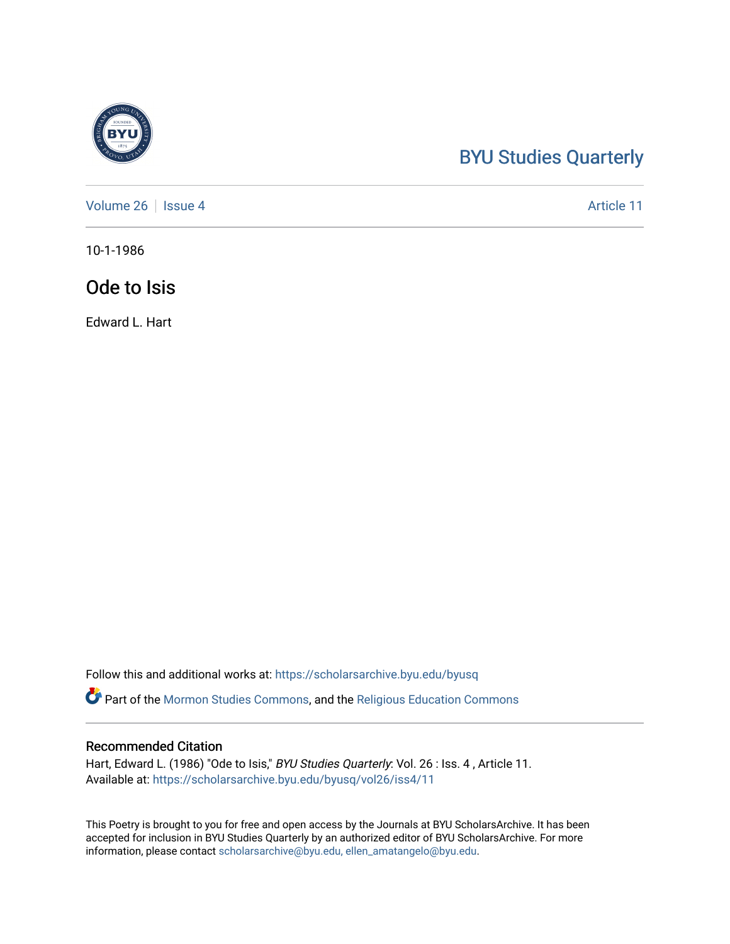## [BYU Studies Quarterly](https://scholarsarchive.byu.edu/byusq)

[Volume 26](https://scholarsarchive.byu.edu/byusq/vol26) | [Issue 4](https://scholarsarchive.byu.edu/byusq/vol26/iss4) Article 11

10-1-1986

## Ode to Isis

Edward L. Hart

Follow this and additional works at: [https://scholarsarchive.byu.edu/byusq](https://scholarsarchive.byu.edu/byusq?utm_source=scholarsarchive.byu.edu%2Fbyusq%2Fvol26%2Fiss4%2F11&utm_medium=PDF&utm_campaign=PDFCoverPages) 

Part of the [Mormon Studies Commons](http://network.bepress.com/hgg/discipline/1360?utm_source=scholarsarchive.byu.edu%2Fbyusq%2Fvol26%2Fiss4%2F11&utm_medium=PDF&utm_campaign=PDFCoverPages), and the [Religious Education Commons](http://network.bepress.com/hgg/discipline/1414?utm_source=scholarsarchive.byu.edu%2Fbyusq%2Fvol26%2Fiss4%2F11&utm_medium=PDF&utm_campaign=PDFCoverPages) 

## Recommended Citation

Hart, Edward L. (1986) "Ode to Isis," BYU Studies Quarterly: Vol. 26 : Iss. 4, Article 11. Available at: [https://scholarsarchive.byu.edu/byusq/vol26/iss4/11](https://scholarsarchive.byu.edu/byusq/vol26/iss4/11?utm_source=scholarsarchive.byu.edu%2Fbyusq%2Fvol26%2Fiss4%2F11&utm_medium=PDF&utm_campaign=PDFCoverPages) 

This Poetry is brought to you for free and open access by the Journals at BYU ScholarsArchive. It has been accepted for inclusion in BYU Studies Quarterly by an authorized editor of BYU ScholarsArchive. For more information, please contact [scholarsarchive@byu.edu, ellen\\_amatangelo@byu.edu.](mailto:scholarsarchive@byu.edu,%20ellen_amatangelo@byu.edu)